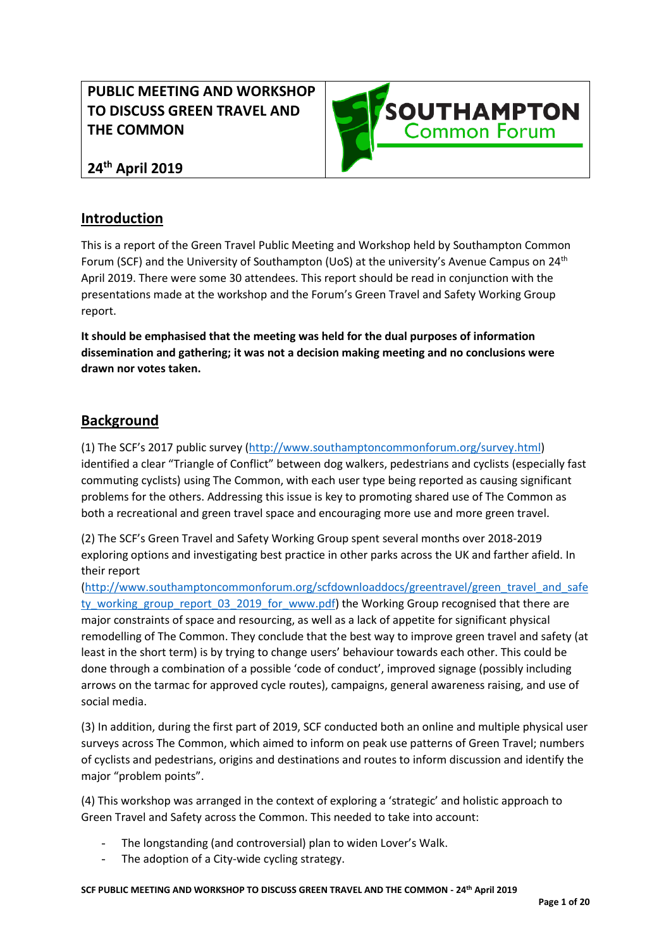# **PUBLIC MEETING AND WORKSHOP TO DISCUSS GREEN TRAVEL AND THE COMMON**



## **24th April 2019**

## **Introduction**

This is a report of the Green Travel Public Meeting and Workshop held by Southampton Common Forum (SCF) and the University of Southampton (UoS) at the university's Avenue Campus on 24<sup>th</sup> April 2019. There were some 30 attendees. This report should be read in conjunction with the presentations made at the workshop and the Forum's Green Travel and Safety Working Group report.

**It should be emphasised that the meeting was held for the dual purposes of information dissemination and gathering; it was not a decision making meeting and no conclusions were drawn nor votes taken.**

# **Background**

(1) The SCF's 2017 public survey [\(http://www.southamptoncommonforum.org/survey.html\)](http://www.southamptoncommonforum.org/survey.html) identified a clear "Triangle of Conflict" between dog walkers, pedestrians and cyclists (especially fast commuting cyclists) using The Common, with each user type being reported as causing significant problems for the others. Addressing this issue is key to promoting shared use of The Common as both a recreational and green travel space and encouraging more use and more green travel.

(2) The SCF's Green Travel and Safety Working Group spent several months over 2018-2019 exploring options and investigating best practice in other parks across the UK and farther afield. In their report

[\(http://www.southamptoncommonforum.org/scfdownloaddocs/greentravel/green\\_travel\\_and\\_safe](http://www.southamptoncommonforum.org/scfdownloaddocs/greentravel/green_travel_and_safety_working_group_report_03_2019_for_www.pdf) [ty\\_working\\_group\\_report\\_03\\_2019\\_for\\_www.pdf\)](http://www.southamptoncommonforum.org/scfdownloaddocs/greentravel/green_travel_and_safety_working_group_report_03_2019_for_www.pdf) the Working Group recognised that there are major constraints of space and resourcing, as well as a lack of appetite for significant physical remodelling of The Common. They conclude that the best way to improve green travel and safety (at least in the short term) is by trying to change users' behaviour towards each other. This could be done through a combination of a possible 'code of conduct', improved signage (possibly including arrows on the tarmac for approved cycle routes), campaigns, general awareness raising, and use of social media.

(3) In addition, during the first part of 2019, SCF conducted both an online and multiple physical user surveys across The Common, which aimed to inform on peak use patterns of Green Travel; numbers of cyclists and pedestrians, origins and destinations and routes to inform discussion and identify the major "problem points".

(4) This workshop was arranged in the context of exploring a 'strategic' and holistic approach to Green Travel and Safety across the Common. This needed to take into account:

- The longstanding (and controversial) plan to widen Lover's Walk.
- The adoption of a City-wide cycling strategy.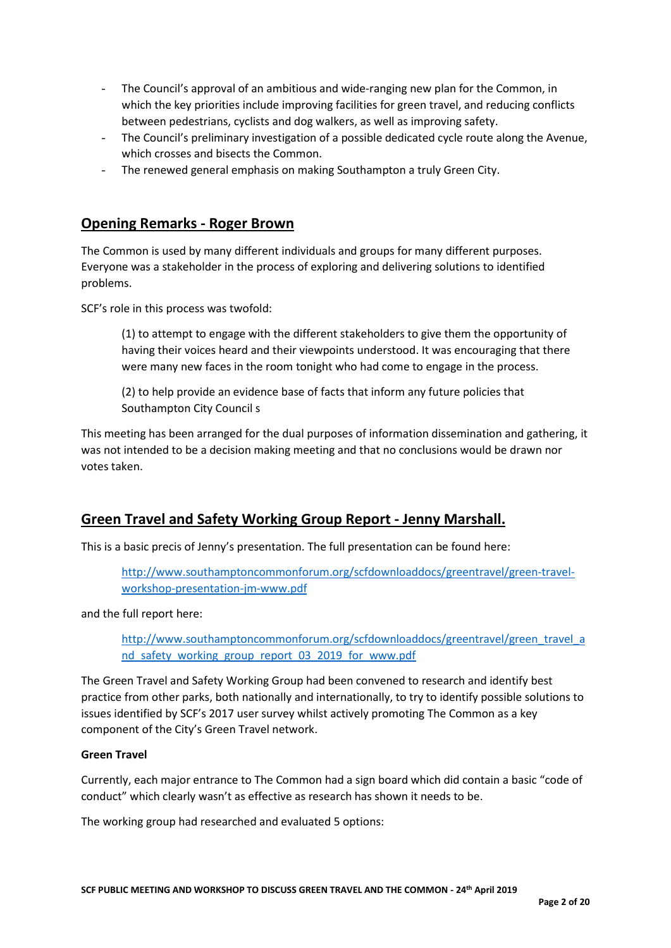- The Council's approval of an ambitious and wide-ranging new plan for the Common, in which the key priorities include improving facilities for green travel, and reducing conflicts between pedestrians, cyclists and dog walkers, as well as improving safety.
- The Council's preliminary investigation of a possible dedicated cycle route along the Avenue, which crosses and bisects the Common.
- The renewed general emphasis on making Southampton a truly Green City.

## **Opening Remarks - Roger Brown**

The Common is used by many different individuals and groups for many different purposes. Everyone was a stakeholder in the process of exploring and delivering solutions to identified problems.

SCF's role in this process was twofold:

(1) to attempt to engage with the different stakeholders to give them the opportunity of having their voices heard and their viewpoints understood. It was encouraging that there were many new faces in the room tonight who had come to engage in the process.

(2) to help provide an evidence base of facts that inform any future policies that Southampton City Council s

This meeting has been arranged for the dual purposes of information dissemination and gathering, it was not intended to be a decision making meeting and that no conclusions would be drawn nor votes taken.

## **Green Travel and Safety Working Group Report - Jenny Marshall.**

This is a basic precis of Jenny's presentation. The full presentation can be found here:

[http://www.southamptoncommonforum.org/scfdownloaddocs/greentravel/green-travel](http://www.southamptoncommonforum.org/scfdownloaddocs/greentravel/green-travel-workshop-presentation-jm-www.pdf)[workshop-presentation-jm-www.pdf](http://www.southamptoncommonforum.org/scfdownloaddocs/greentravel/green-travel-workshop-presentation-jm-www.pdf)

and the full report here:

[http://www.southamptoncommonforum.org/scfdownloaddocs/greentravel/green\\_travel\\_a](http://www.southamptoncommonforum.org/scfdownloaddocs/greentravel/green_travel_and_safety_working_group_report_03_2019_for_www.pdf) [nd\\_safety\\_working\\_group\\_report\\_03\\_2019\\_for\\_www.pdf](http://www.southamptoncommonforum.org/scfdownloaddocs/greentravel/green_travel_and_safety_working_group_report_03_2019_for_www.pdf)

The Green Travel and Safety Working Group had been convened to research and identify best practice from other parks, both nationally and internationally, to try to identify possible solutions to issues identified by SCF's 2017 user survey whilst actively promoting The Common as a key component of the City's Green Travel network.

#### **Green Travel**

Currently, each major entrance to The Common had a sign board which did contain a basic "code of conduct" which clearly wasn't as effective as research has shown it needs to be.

The working group had researched and evaluated 5 options: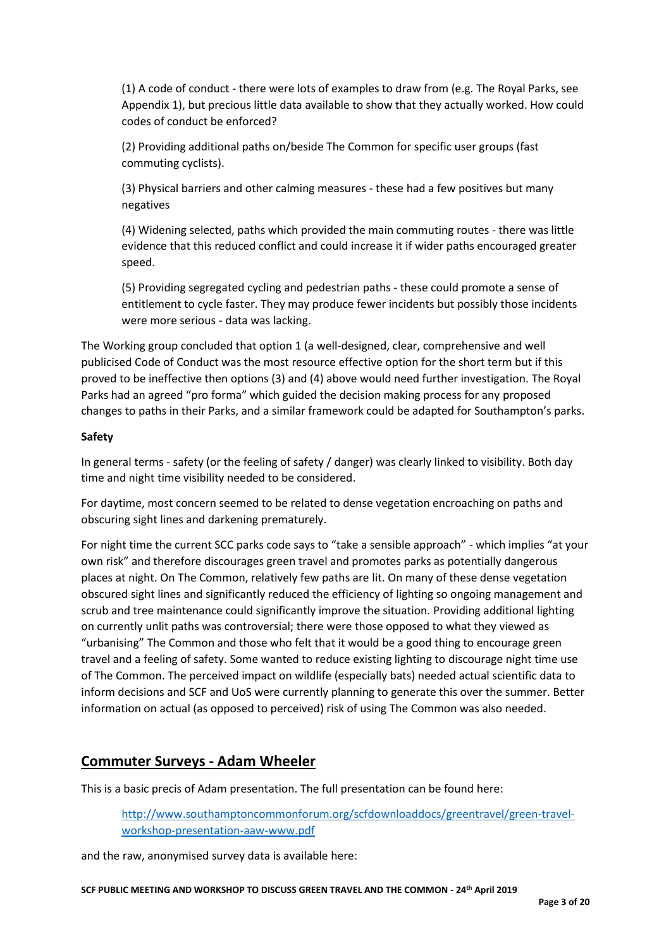(1) A code of conduct - there were lots of examples to draw from (e.g. The Royal Parks, see Appendix 1), but precious little data available to show that they actually worked. How could codes of conduct be enforced?

(2) Providing additional paths on/beside The Common for specific user groups (fast commuting cyclists).

(3) Physical barriers and other calming measures - these had a few positives but many negatives

(4) Widening selected, paths which provided the main commuting routes - there was little evidence that this reduced conflict and could increase it if wider paths encouraged greater speed.

(5) Providing segregated cycling and pedestrian paths - these could promote a sense of entitlement to cycle faster. They may produce fewer incidents but possibly those incidents were more serious - data was lacking.

The Working group concluded that option 1 (a well-designed, clear, comprehensive and well publicised Code of Conduct was the most resource effective option for the short term but if this proved to be ineffective then options (3) and (4) above would need further investigation. The Royal Parks had an agreed "pro forma" which guided the decision making process for any proposed changes to paths in their Parks, and a similar framework could be adapted for Southampton's parks.

#### **Safety**

In general terms - safety (or the feeling of safety / danger) was clearly linked to visibility. Both day time and night time visibility needed to be considered.

For daytime, most concern seemed to be related to dense vegetation encroaching on paths and obscuring sight lines and darkening prematurely.

For night time the current SCC parks code says to "take a sensible approach" - which implies "at your own risk" and therefore discourages green travel and promotes parks as potentially dangerous places at night. On The Common, relatively few paths are lit. On many of these dense vegetation obscured sight lines and significantly reduced the efficiency of lighting so ongoing management and scrub and tree maintenance could significantly improve the situation. Providing additional lighting on currently unlit paths was controversial; there were those opposed to what they viewed as "urbanising" The Common and those who felt that it would be a good thing to encourage green travel and a feeling of safety. Some wanted to reduce existing lighting to discourage night time use of The Common. The perceived impact on wildlife (especially bats) needed actual scientific data to inform decisions and SCF and UoS were currently planning to generate this over the summer. Better information on actual (as opposed to perceived) risk of using The Common was also needed.

## **Commuter Surveys - Adam Wheeler**

This is a basic precis of Adam presentation. The full presentation can be found here:

[http://www.southamptoncommonforum.org/scfdownloaddocs/greentravel/green-travel](http://www.southamptoncommonforum.org/scfdownloaddocs/greentravel/green-travel-workshop-presentation-aaw-www.pdf)[workshop-presentation-aaw-www.pdf](http://www.southamptoncommonforum.org/scfdownloaddocs/greentravel/green-travel-workshop-presentation-aaw-www.pdf)

and the raw, anonymised survey data is available here: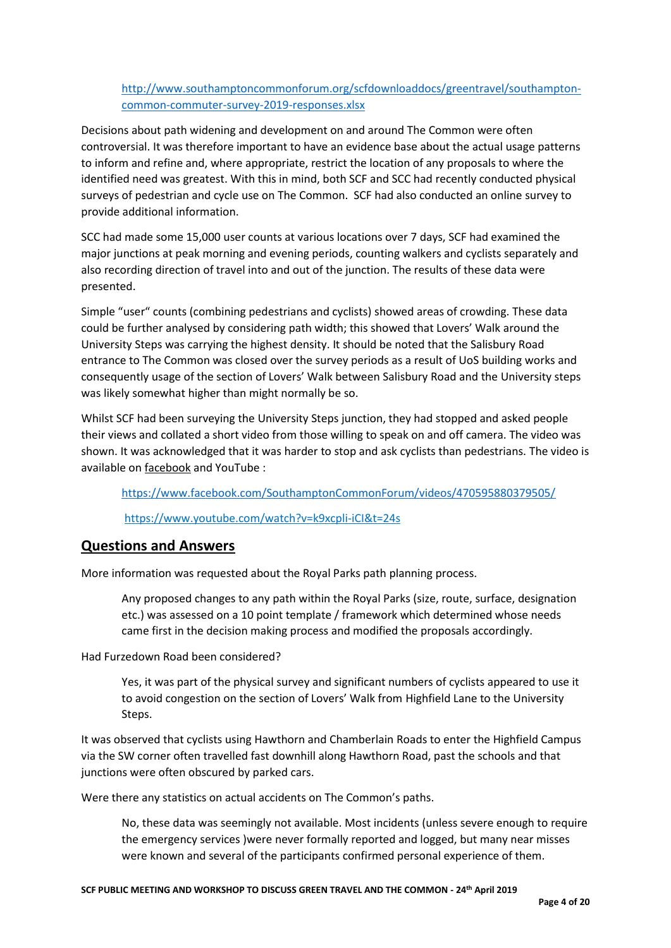[http://www.southamptoncommonforum.org/scfdownloaddocs/greentravel/southampton](http://www.southamptoncommonforum.org/scfdownloaddocs/greentravel/southampton-common-commuter-survey-2019-responses.xlsx)[common-commuter-survey-2019-responses.xlsx](http://www.southamptoncommonforum.org/scfdownloaddocs/greentravel/southampton-common-commuter-survey-2019-responses.xlsx)

Decisions about path widening and development on and around The Common were often controversial. It was therefore important to have an evidence base about the actual usage patterns to inform and refine and, where appropriate, restrict the location of any proposals to where the identified need was greatest. With this in mind, both SCF and SCC had recently conducted physical surveys of pedestrian and cycle use on The Common. SCF had also conducted an online survey to provide additional information.

SCC had made some 15,000 user counts at various locations over 7 days, SCF had examined the major junctions at peak morning and evening periods, counting walkers and cyclists separately and also recording direction of travel into and out of the junction. The results of these data were presented.

Simple "user" counts (combining pedestrians and cyclists) showed areas of crowding. These data could be further analysed by considering path width; this showed that Lovers' Walk around the University Steps was carrying the highest density. It should be noted that the Salisbury Road entrance to The Common was closed over the survey periods as a result of UoS building works and consequently usage of the section of Lovers' Walk between Salisbury Road and the University steps was likely somewhat higher than might normally be so.

Whilst SCF had been surveying the University Steps junction, they had stopped and asked people their views and collated a short video from those willing to speak on and off camera. The video was shown. It was acknowledged that it was harder to stop and ask cyclists than pedestrians. The video is available on facebook and YouTube :

<https://www.facebook.com/SouthamptonCommonForum/videos/470595880379505/>

<https://www.youtube.com/watch?v=k9xcpli-iCI&t=24s>

## **Questions and Answers**

More information was requested about the Royal Parks path planning process.

Any proposed changes to any path within the Royal Parks (size, route, surface, designation etc.) was assessed on a 10 point template / framework which determined whose needs came first in the decision making process and modified the proposals accordingly.

Had Furzedown Road been considered?

Yes, it was part of the physical survey and significant numbers of cyclists appeared to use it to avoid congestion on the section of Lovers' Walk from Highfield Lane to the University Steps.

It was observed that cyclists using Hawthorn and Chamberlain Roads to enter the Highfield Campus via the SW corner often travelled fast downhill along Hawthorn Road, past the schools and that junctions were often obscured by parked cars.

Were there any statistics on actual accidents on The Common's paths.

No, these data was seemingly not available. Most incidents (unless severe enough to require the emergency services )were never formally reported and logged, but many near misses were known and several of the participants confirmed personal experience of them.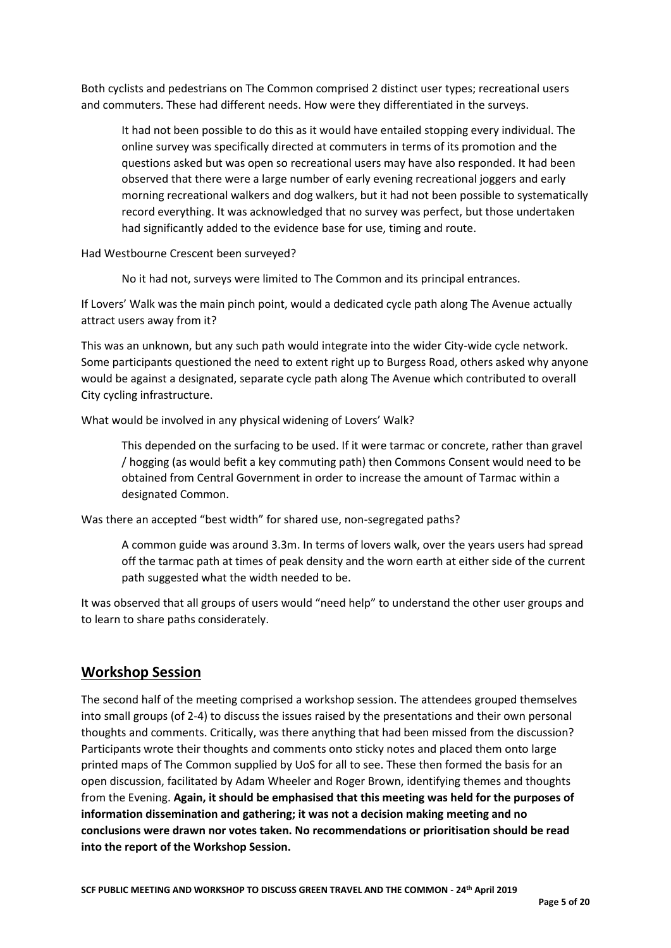Both cyclists and pedestrians on The Common comprised 2 distinct user types; recreational users and commuters. These had different needs. How were they differentiated in the surveys.

It had not been possible to do this as it would have entailed stopping every individual. The online survey was specifically directed at commuters in terms of its promotion and the questions asked but was open so recreational users may have also responded. It had been observed that there were a large number of early evening recreational joggers and early morning recreational walkers and dog walkers, but it had not been possible to systematically record everything. It was acknowledged that no survey was perfect, but those undertaken had significantly added to the evidence base for use, timing and route.

Had Westbourne Crescent been surveyed?

No it had not, surveys were limited to The Common and its principal entrances.

If Lovers' Walk was the main pinch point, would a dedicated cycle path along The Avenue actually attract users away from it?

This was an unknown, but any such path would integrate into the wider City-wide cycle network. Some participants questioned the need to extent right up to Burgess Road, others asked why anyone would be against a designated, separate cycle path along The Avenue which contributed to overall City cycling infrastructure.

What would be involved in any physical widening of Lovers' Walk?

This depended on the surfacing to be used. If it were tarmac or concrete, rather than gravel / hogging (as would befit a key commuting path) then Commons Consent would need to be obtained from Central Government in order to increase the amount of Tarmac within a designated Common.

Was there an accepted "best width" for shared use, non-segregated paths?

A common guide was around 3.3m. In terms of lovers walk, over the years users had spread off the tarmac path at times of peak density and the worn earth at either side of the current path suggested what the width needed to be.

It was observed that all groups of users would "need help" to understand the other user groups and to learn to share paths considerately.

## **Workshop Session**

The second half of the meeting comprised a workshop session. The attendees grouped themselves into small groups (of 2-4) to discuss the issues raised by the presentations and their own personal thoughts and comments. Critically, was there anything that had been missed from the discussion? Participants wrote their thoughts and comments onto sticky notes and placed them onto large printed maps of The Common supplied by UoS for all to see. These then formed the basis for an open discussion, facilitated by Adam Wheeler and Roger Brown, identifying themes and thoughts from the Evening. **Again, it should be emphasised that this meeting was held for the purposes of information dissemination and gathering; it was not a decision making meeting and no conclusions were drawn nor votes taken. No recommendations or prioritisation should be read into the report of the Workshop Session.**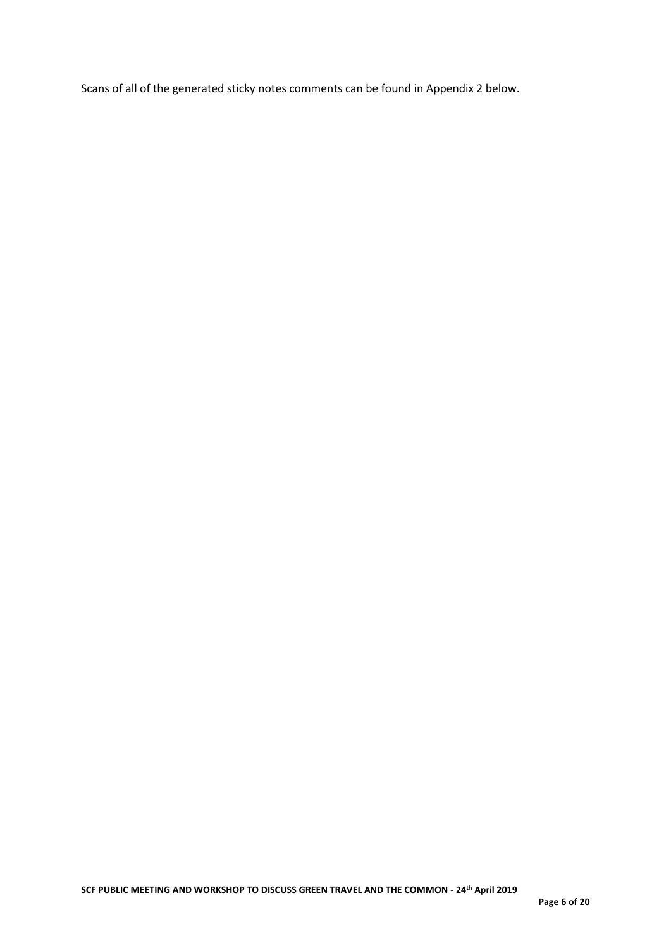Scans of all of the generated sticky notes comments can be found in Appendix 2 below.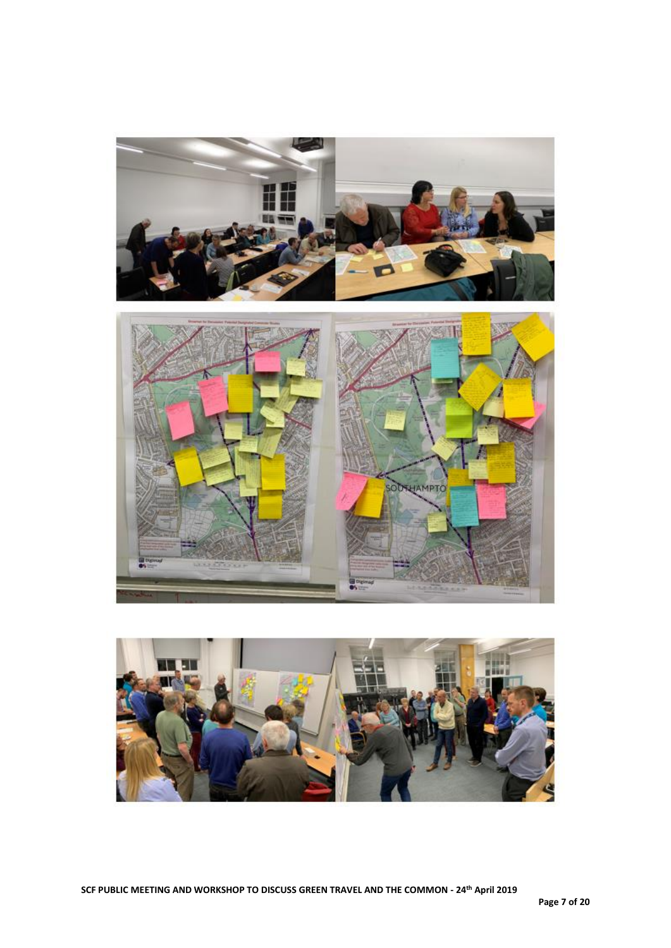

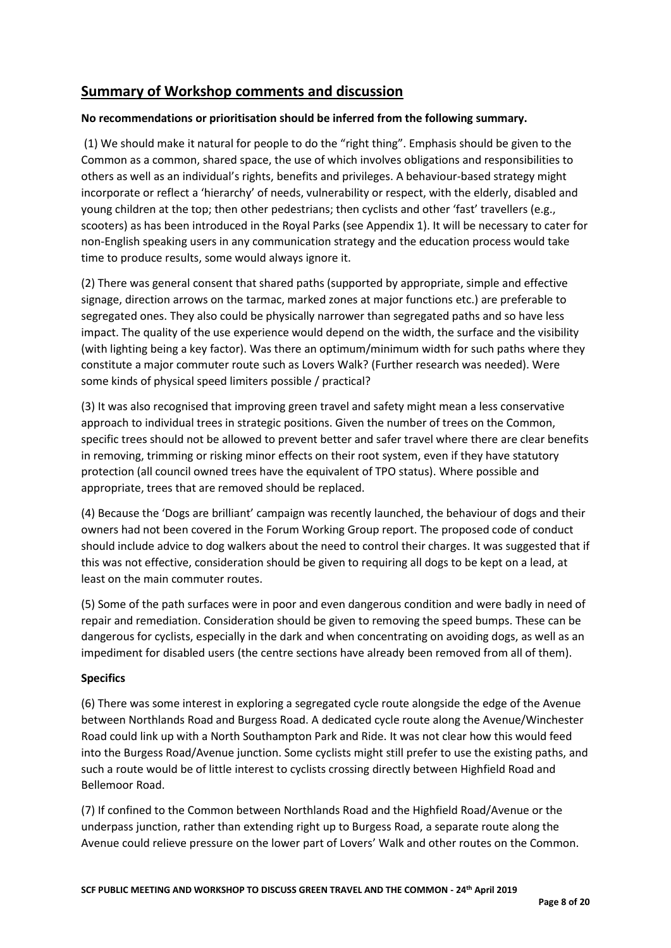## **Summary of Workshop comments and discussion**

#### **No recommendations or prioritisation should be inferred from the following summary.**

(1) We should make it natural for people to do the "right thing". Emphasis should be given to the Common as a common, shared space, the use of which involves obligations and responsibilities to others as well as an individual's rights, benefits and privileges. A behaviour-based strategy might incorporate or reflect a 'hierarchy' of needs, vulnerability or respect, with the elderly, disabled and young children at the top; then other pedestrians; then cyclists and other 'fast' travellers (e.g., scooters) as has been introduced in the Royal Parks (see Appendix 1). It will be necessary to cater for non-English speaking users in any communication strategy and the education process would take time to produce results, some would always ignore it.

(2) There was general consent that shared paths (supported by appropriate, simple and effective signage, direction arrows on the tarmac, marked zones at major functions etc.) are preferable to segregated ones. They also could be physically narrower than segregated paths and so have less impact. The quality of the use experience would depend on the width, the surface and the visibility (with lighting being a key factor). Was there an optimum/minimum width for such paths where they constitute a major commuter route such as Lovers Walk? (Further research was needed). Were some kinds of physical speed limiters possible / practical?

(3) It was also recognised that improving green travel and safety might mean a less conservative approach to individual trees in strategic positions. Given the number of trees on the Common, specific trees should not be allowed to prevent better and safer travel where there are clear benefits in removing, trimming or risking minor effects on their root system, even if they have statutory protection (all council owned trees have the equivalent of TPO status). Where possible and appropriate, trees that are removed should be replaced.

(4) Because the 'Dogs are brilliant' campaign was recently launched, the behaviour of dogs and their owners had not been covered in the Forum Working Group report. The proposed code of conduct should include advice to dog walkers about the need to control their charges. It was suggested that if this was not effective, consideration should be given to requiring all dogs to be kept on a lead, at least on the main commuter routes.

(5) Some of the path surfaces were in poor and even dangerous condition and were badly in need of repair and remediation. Consideration should be given to removing the speed bumps. These can be dangerous for cyclists, especially in the dark and when concentrating on avoiding dogs, as well as an impediment for disabled users (the centre sections have already been removed from all of them).

#### **Specifics**

(6) There was some interest in exploring a segregated cycle route alongside the edge of the Avenue between Northlands Road and Burgess Road. A dedicated cycle route along the Avenue/Winchester Road could link up with a North Southampton Park and Ride. It was not clear how this would feed into the Burgess Road/Avenue junction. Some cyclists might still prefer to use the existing paths, and such a route would be of little interest to cyclists crossing directly between Highfield Road and Bellemoor Road.

(7) If confined to the Common between Northlands Road and the Highfield Road/Avenue or the underpass junction, rather than extending right up to Burgess Road, a separate route along the Avenue could relieve pressure on the lower part of Lovers' Walk and other routes on the Common.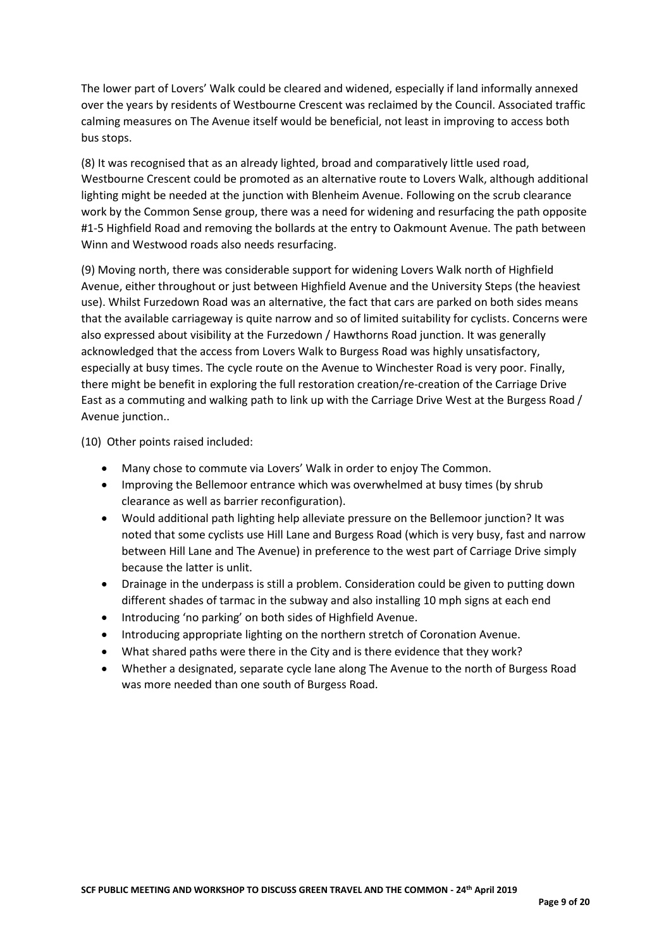The lower part of Lovers' Walk could be cleared and widened, especially if land informally annexed over the years by residents of Westbourne Crescent was reclaimed by the Council. Associated traffic calming measures on The Avenue itself would be beneficial, not least in improving to access both bus stops.

(8) It was recognised that as an already lighted, broad and comparatively little used road, Westbourne Crescent could be promoted as an alternative route to Lovers Walk, although additional lighting might be needed at the junction with Blenheim Avenue. Following on the scrub clearance work by the Common Sense group, there was a need for widening and resurfacing the path opposite #1-5 Highfield Road and removing the bollards at the entry to Oakmount Avenue. The path between Winn and Westwood roads also needs resurfacing.

(9) Moving north, there was considerable support for widening Lovers Walk north of Highfield Avenue, either throughout or just between Highfield Avenue and the University Steps (the heaviest use). Whilst Furzedown Road was an alternative, the fact that cars are parked on both sides means that the available carriageway is quite narrow and so of limited suitability for cyclists. Concerns were also expressed about visibility at the Furzedown / Hawthorns Road junction. It was generally acknowledged that the access from Lovers Walk to Burgess Road was highly unsatisfactory, especially at busy times. The cycle route on the Avenue to Winchester Road is very poor. Finally, there might be benefit in exploring the full restoration creation/re-creation of the Carriage Drive East as a commuting and walking path to link up with the Carriage Drive West at the Burgess Road / Avenue junction..

(10) Other points raised included:

- Many chose to commute via Lovers' Walk in order to enjoy The Common.
- Improving the Bellemoor entrance which was overwhelmed at busy times (by shrub clearance as well as barrier reconfiguration).
- Would additional path lighting help alleviate pressure on the Bellemoor junction? It was noted that some cyclists use Hill Lane and Burgess Road (which is very busy, fast and narrow between Hill Lane and The Avenue) in preference to the west part of Carriage Drive simply because the latter is unlit.
- Drainage in the underpass is still a problem. Consideration could be given to putting down different shades of tarmac in the subway and also installing 10 mph signs at each end
- Introducing 'no parking' on both sides of Highfield Avenue.
- Introducing appropriate lighting on the northern stretch of Coronation Avenue.
- What shared paths were there in the City and is there evidence that they work?
- Whether a designated, separate cycle lane along The Avenue to the north of Burgess Road was more needed than one south of Burgess Road.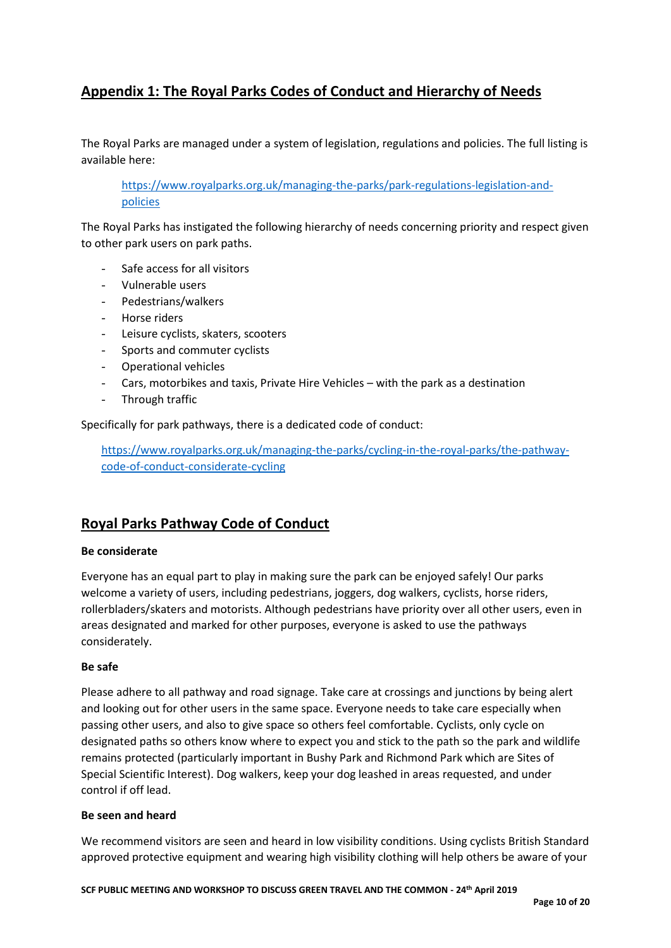# **Appendix 1: The Royal Parks Codes of Conduct and Hierarchy of Needs**

The Royal Parks are managed under a system of legislation, regulations and policies. The full listing is available here:

[https://www.royalparks.org.uk/managing-the-parks/park-regulations-legislation-and](https://www.royalparks.org.uk/managing-the-parks/park-regulations-legislation-and-policies)[policies](https://www.royalparks.org.uk/managing-the-parks/park-regulations-legislation-and-policies)

The Royal Parks has instigated the following hierarchy of needs concerning priority and respect given to other park users on park paths.

- Safe access for all visitors
- Vulnerable users
- Pedestrians/walkers
- Horse riders
- Leisure cyclists, skaters, scooters
- Sports and commuter cyclists
- Operational vehicles
- Cars, motorbikes and taxis, Private Hire Vehicles with the park as a destination
- Through traffic

Specifically for park pathways, there is a dedicated code of conduct:

[https://www.royalparks.org.uk/managing-the-parks/cycling-in-the-royal-parks/the-pathway](https://www.royalparks.org.uk/managing-the-parks/cycling-in-the-royal-parks/the-pathway-code-of-conduct-considerate-cycling)[code-of-conduct-considerate-cycling](https://www.royalparks.org.uk/managing-the-parks/cycling-in-the-royal-parks/the-pathway-code-of-conduct-considerate-cycling)

## **Royal Parks Pathway Code of Conduct**

#### **Be considerate**

Everyone has an equal part to play in making sure the park can be enjoyed safely! Our parks welcome a variety of users, including pedestrians, joggers, dog walkers, cyclists, horse riders, rollerbladers/skaters and motorists. Although pedestrians have priority over all other users, even in areas designated and marked for other purposes, everyone is asked to use the pathways considerately.

#### **Be safe**

Please adhere to all pathway and road signage. Take care at crossings and junctions by being alert and looking out for other users in the same space. Everyone needs to take care especially when passing other users, and also to give space so others feel comfortable. Cyclists, only cycle on designated paths so others know where to expect you and stick to the path so the park and wildlife remains protected (particularly important in Bushy Park and Richmond Park which are Sites of Special Scientific Interest). Dog walkers, keep your dog leashed in areas requested, and under control if off lead.

#### **Be seen and heard**

We recommend visitors are seen and heard in low visibility conditions. Using cyclists British Standard approved protective equipment and wearing high visibility clothing will help others be aware of your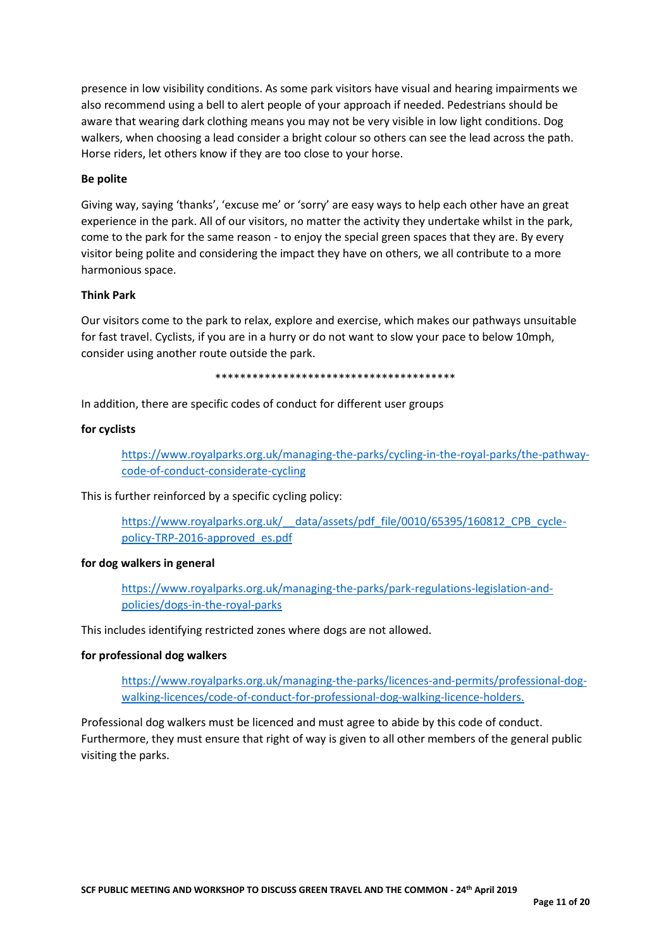presence in low visibility conditions. As some park visitors have visual and hearing impairments we also recommend using a bell to alert people of your approach if needed. Pedestrians should be aware that wearing dark clothing means you may not be very visible in low light conditions. Dog walkers, when choosing a lead consider a bright colour so others can see the lead across the path. Horse riders, let others know if they are too close to your horse.

#### **Be polite**

Giving way, saying 'thanks', 'excuse me' or 'sorry' are easy ways to help each other have an great experience in the park. All of our visitors, no matter the activity they undertake whilst in the park, come to the park for the same reason - to enjoy the special green spaces that they are. By every visitor being polite and considering the impact they have on others, we all contribute to a more harmonious space.

#### **Think Park**

Our visitors come to the park to relax, explore and exercise, which makes our pathways unsuitable for fast travel. Cyclists, if you are in a hurry or do not want to slow your pace to below 10mph, consider using another route outside the park.

\*\*\*\*\*\*\*\*\*\*\*\*\*\*\*\*\*\*\*\*\*\*\*\*\*\*\*\*\*\*\*\*\*\*\*\*\*\*\*

In addition, there are specific codes of conduct for different user groups

#### **for cyclists**

[https://www.royalparks.org.uk/managing-the-parks/cycling-in-the-royal-parks/the-pathway](https://www.royalparks.org.uk/managing-the-parks/cycling-in-the-royal-parks/the-pathway-code-of-conduct-considerate-cycling)[code-of-conduct-considerate-cycling](https://www.royalparks.org.uk/managing-the-parks/cycling-in-the-royal-parks/the-pathway-code-of-conduct-considerate-cycling)

This is further reinforced by a specific cycling policy:

https://www.royalparks.org.uk/ data/assets/pdf file/0010/65395/160812 CPB cycle[policy-TRP-2016-approved\\_es.pdf](https://www.royalparks.org.uk/__data/assets/pdf_file/0010/65395/160812_CPB_cycle-policy-TRP-2016-approved_es.pdf)

#### **for dog walkers in general**

[https://www.royalparks.org.uk/managing-the-parks/park-regulations-legislation-and](https://www.royalparks.org.uk/managing-the-parks/park-regulations-legislation-and-policies/dogs-in-the-royal-parks)[policies/dogs-in-the-royal-parks](https://www.royalparks.org.uk/managing-the-parks/park-regulations-legislation-and-policies/dogs-in-the-royal-parks)

This includes identifying restricted zones where dogs are not allowed.

#### **for professional dog walkers**

[https://www.royalparks.org.uk/managing-the-parks/licences-and-permits/professional-dog](https://www.royalparks.org.uk/managing-the-parks/licences-and-permits/professional-dog-walking-licences/code-of-conduct-for-professional-dog-walking-licence-holders.)[walking-licences/code-of-conduct-for-professional-dog-walking-licence-holders.](https://www.royalparks.org.uk/managing-the-parks/licences-and-permits/professional-dog-walking-licences/code-of-conduct-for-professional-dog-walking-licence-holders.) 

Professional dog walkers must be licenced and must agree to abide by this code of conduct. Furthermore, they must ensure that right of way is given to all other members of the general public visiting the parks.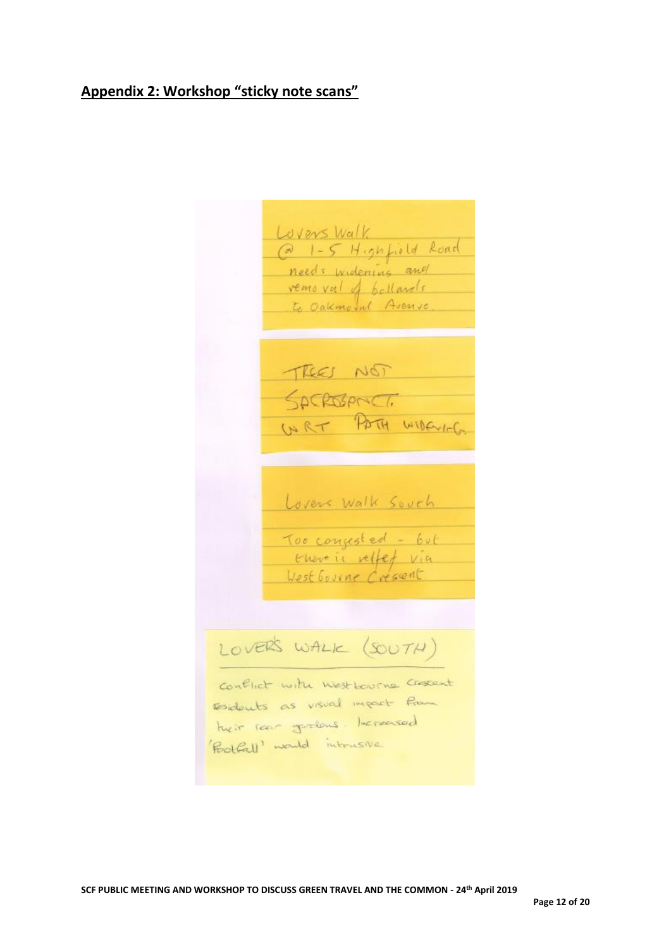# **Appendix 2: Workshop "sticky note scans"**

Lovens Walk Covers Walk needs widening and vemoval of bollards to Oalemplut Avenue TRES NOT SACRESPACT. Lovens Walk South Too conjested - but there is reflet via West Govine Crescent LOVER'S WALK (SOUTH) Conflict with Westbourne Creatent soidents as visual impact from their rear grows. Increased 'Footfall' would intrusive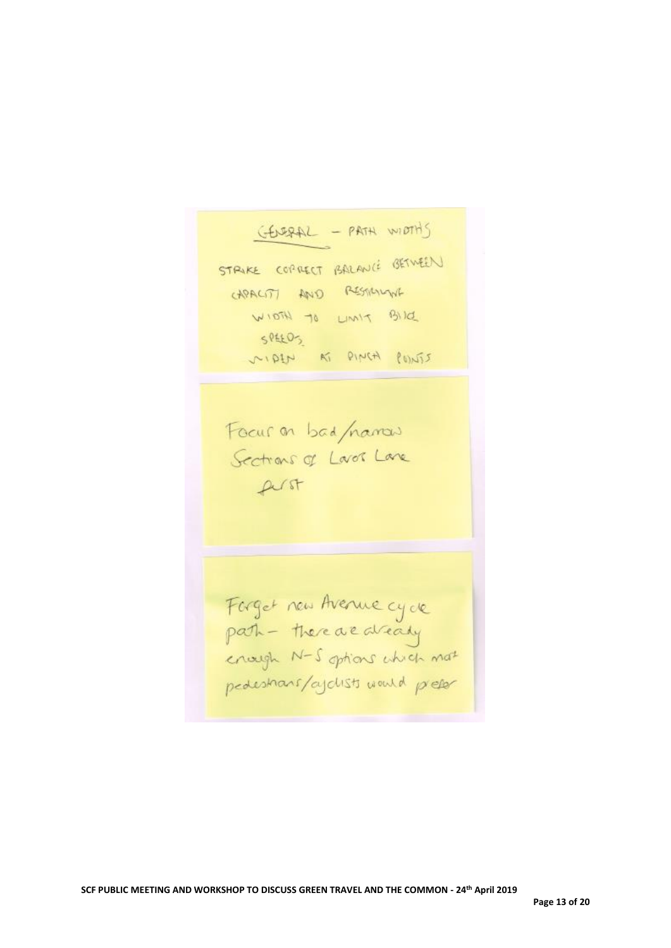GENERAL - PATH WIDTHS STRIKE COPFECT BALANCE BETWEEN CAPACITY AND RESIGNANT WIOTH TO LIMIT BILL SPEEDS riper to PIMA POINTS

Focus on bad/naman Sections of Lavor Lane  $ACF$ 

Forget new Avenue cycle part - there are dready enough N-S options which mot pedestrans/ajolists would prefer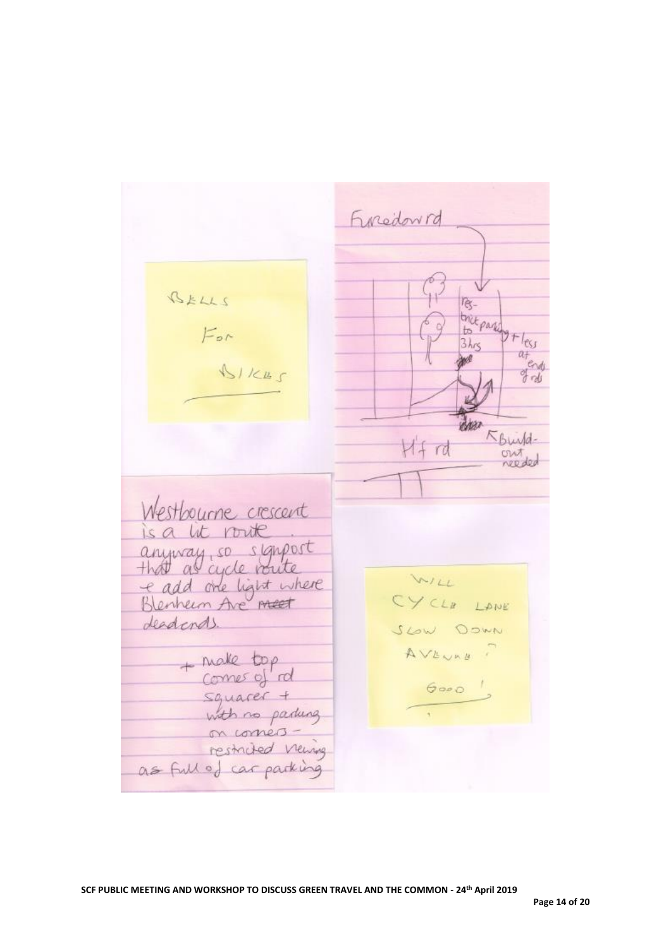Funedownd BELLS resthick parks  $F_{\rho}$  $H_{\text{eSJ}}$  $3hr<$  $rac{a_{f}}{a_{f}}$ BIKES  $9 - 4$ **RANZ** K Build. Hf rd out Westbourne crescent anyway, so sympost e add one light where WILL CYCLE LANE deadcrds. SLOW DOWN AVEURE P + malle top<br>comes of rd<br>squarer +<br>which no padung<br>on comers - $6000$ restricted veining as full of car parking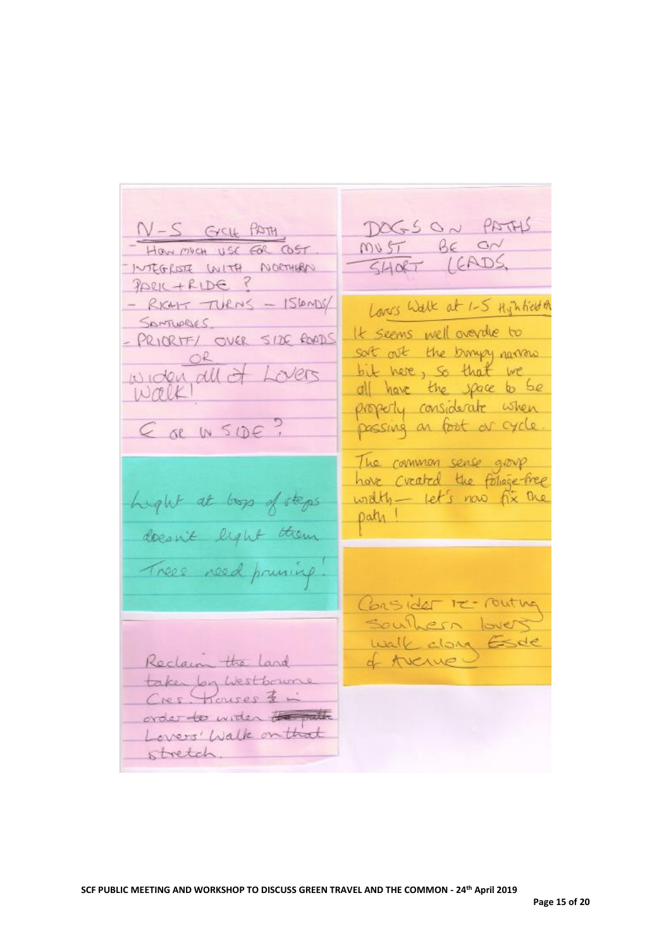DOGS ON PATTYS N-S GCHE PATH MUST BE ON - How much use For COST. INTEGRISTE WITH NORTHERN PARK +RIDE ? - RICALT TURNS - ISLANDS/ Lores Walk at 1-5 Hyntiebth SAMTUARIES It seems well overdie to - PRIORITY OVER SIDE ROODS soft out the bumpy narrow OR bit here, so that we widen all of Lovers all have the space to be  $IUP(K)$ properly considerate when E OR IN SIDE? passing an foot or cycle The common sense group have created the follage-free writing let's now fix the hight at bops of steps Daty doesn't light them Trees need pruning! Consider 12- routing Southern lovers walk close Esde d tuerre Reclaim the land take by Westbours Cres Prouses 3 order to writer the path Lowers' Walk on that stretch.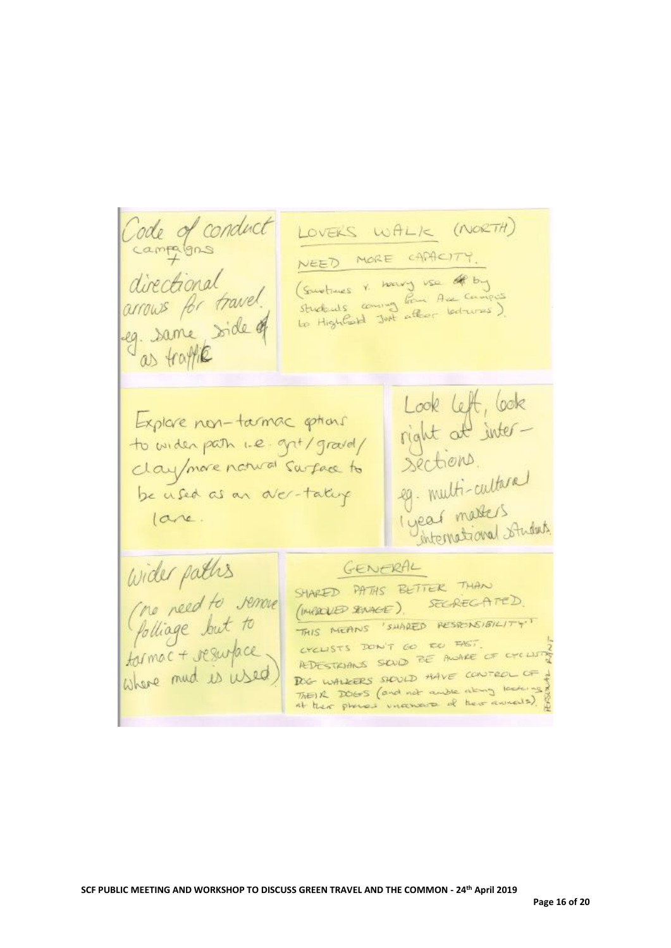Code of conduct Loveks WALK (NORTH)<br>directional Navel (surtues x mary vse 4 by<br>arrows for travel students coming for Are composed<br>and the side of this the Highland Just also between Look Left, look Explore non-tarmac options right at interto wider path i.e. grt/gravel/ clay/more natural surface to sections.<br>eg. multi-cultural be used as an aver-taking lyear master lare. international students GENERAL wider paths Wider paths<br>(no need to senour SHARED PATHS BETTER THAN<br>(polliage but to THIS NEAMS SUNDED RESPONSIBILITY)<br>tolmer the surface<br>where mud is used) Requisions source to make or event CYCLISTS DON'T GO NO MUNKE OF CYCLIST the whites should interest the theory leading<br>The IR DOGS (and not another theory leading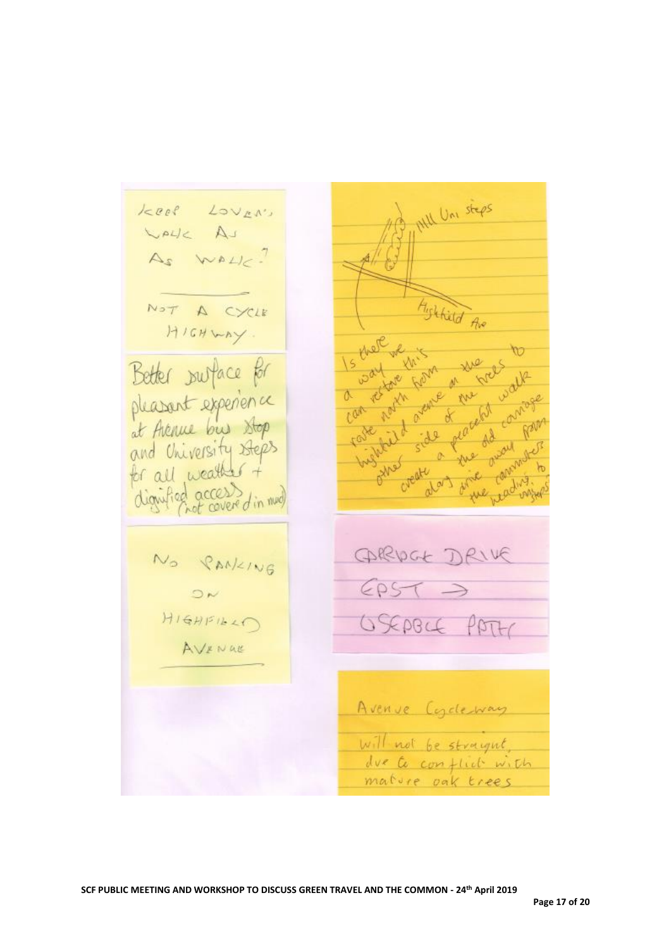11 Mill Uni steps Keel LOVEN'S LAYS A As WALK ? Highbird Are NOT A CYCLE HIGHWAY. ls chel<sup>e</sup> ver form sue route Better surface for pleasant experience<br>at Alenue bus stop<br>and University steps<br>for all weather +<br>dignified access of in mud CARKEL DRIVE No PANKING  $O(N)$  $CPST \rightarrow$ HIGHFILLD USEPBLE PATTY AVENUE Avenue Cycleway will not be straight, due to conflict with mature oak trees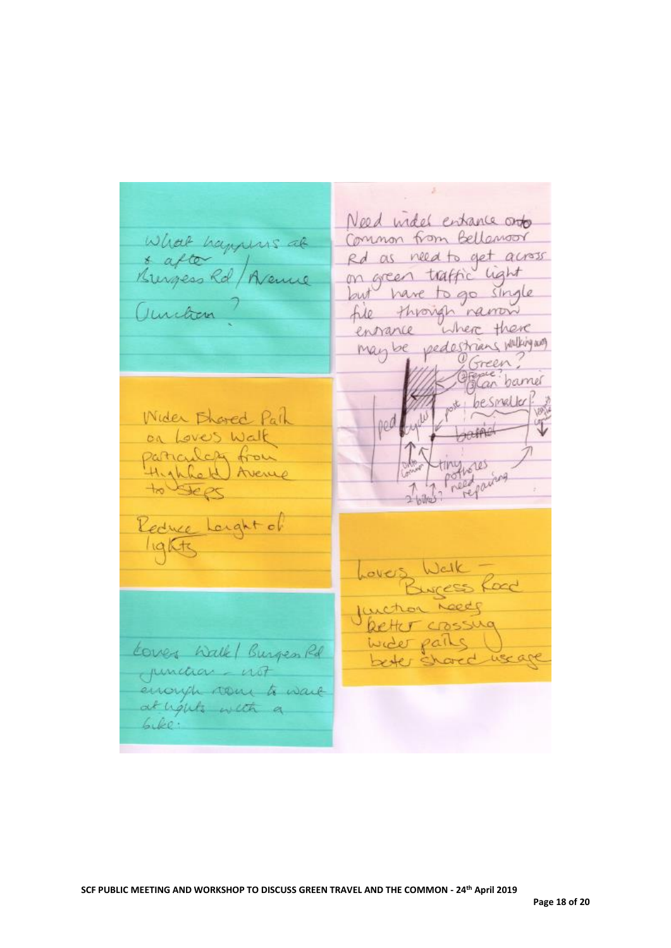Need indel entrance onto Common from Bellewoor What happing at Rd as need to get across on green traffic light but have to go single auction file through namon envance where there pedestrians Wilkingon maybe Can barner besmaller Wider Ehored Paik aoû on Loves Walk paticulary from frotes<br>Peppina Highheld Avenue  $to$  SEPC Reduce Longht of lights Lovers Walk needs HCT Crossuo wider pails Loves Walk / Burges Rd use are punction - not enough rome to ware at holts with a  $6.60.$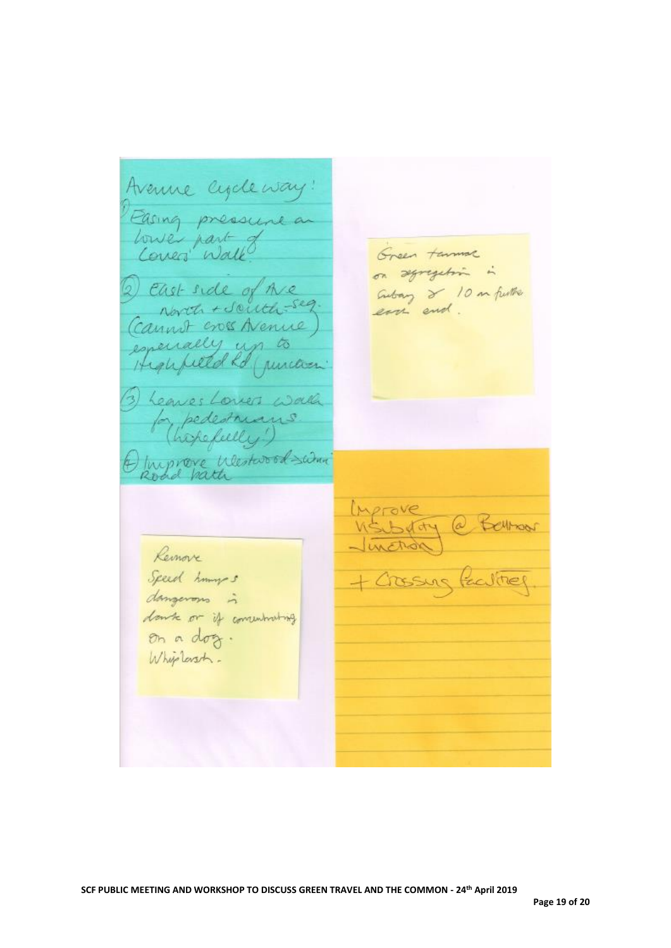Avenue Cycleway!<br>Easing pressure a Green termore on syregetion in 2 Cast side of the especially up to 3 Leaves Loves wall De huprove Westwood sudmit Incrove<br>Insisting @ Bernow Remove + Crossing Pacificq Speed humps dangerous in don't or if consumering on a dog. Whiplast.